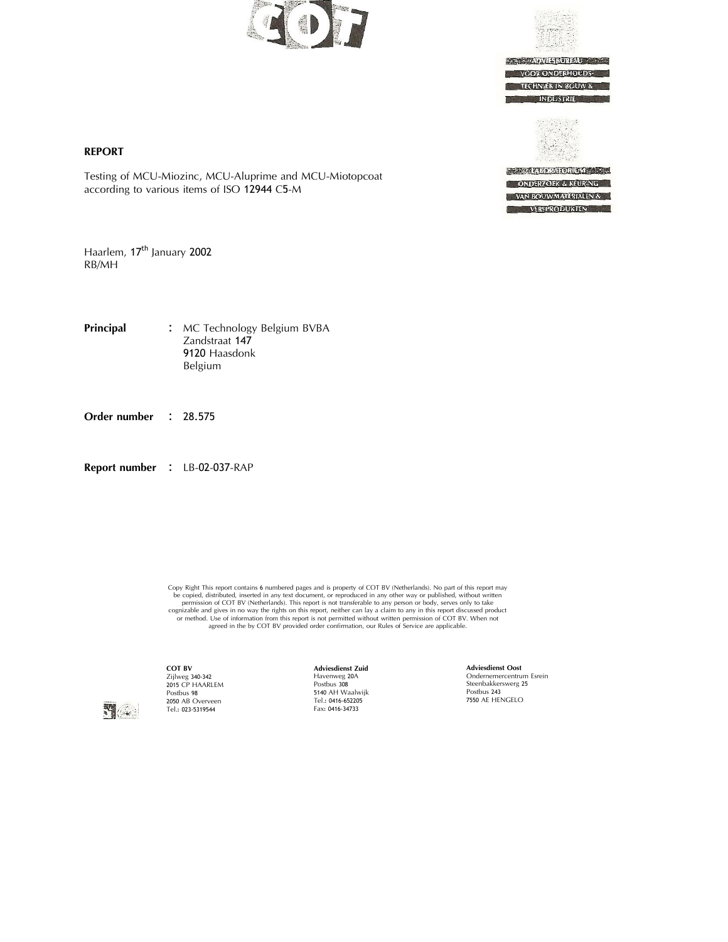



**ADVIESBUREAU VOOR ONDERHOUDS TECHNIEK IN BOUW & INDUSTRIE** 

**TELEVISION CONTRACTOR ONDERZOEK & KEURING** VAN BOUWMATERIALEN & **VERFPRODUKTEN** 

### **REPORT**

Testing of MCU-Miozinc, MCU-Aluprime and MCU-Miotopcoat according to various items of ISO <sup>12944</sup> C5-M

Haarlem, 17<sup>th</sup> January 2002 RB/MH

**Principal :** MC Technology Belgium BVBA Zandstraat <sup>147</sup> 9120 Haasdonk<br>Belgium

**Order number :** 28.575

**Report number : LB-02-037-RAP** 

Copy Right This report contains 6 numbered pages and is property of COT BV (Netherlands). No part of this report may be copied, distributed, inserted in any term of orchoduced in any other pulsifields, without written per



**COT BV** Zijlweg 340-342<br>2015 CP HAARLEM Postbus 98<br>2050 AB Overveen <sup>2050</sup> AB Overveen Tel.: 023‐5319544

**Adviesdienst Zuid** Havenweg 20<sup>A</sup> Postbus <sup>308</sup> <sup>5140</sup> AH Waalwijk Tel.: 0416‐652205 Fax: 0416‐34733

**Adviesdienst Oost** Ondernemercentrum Esrein Steenbakkerswerg <sup>25</sup> Postbus <sup>243</sup> <sup>7550</sup> AE HENGELO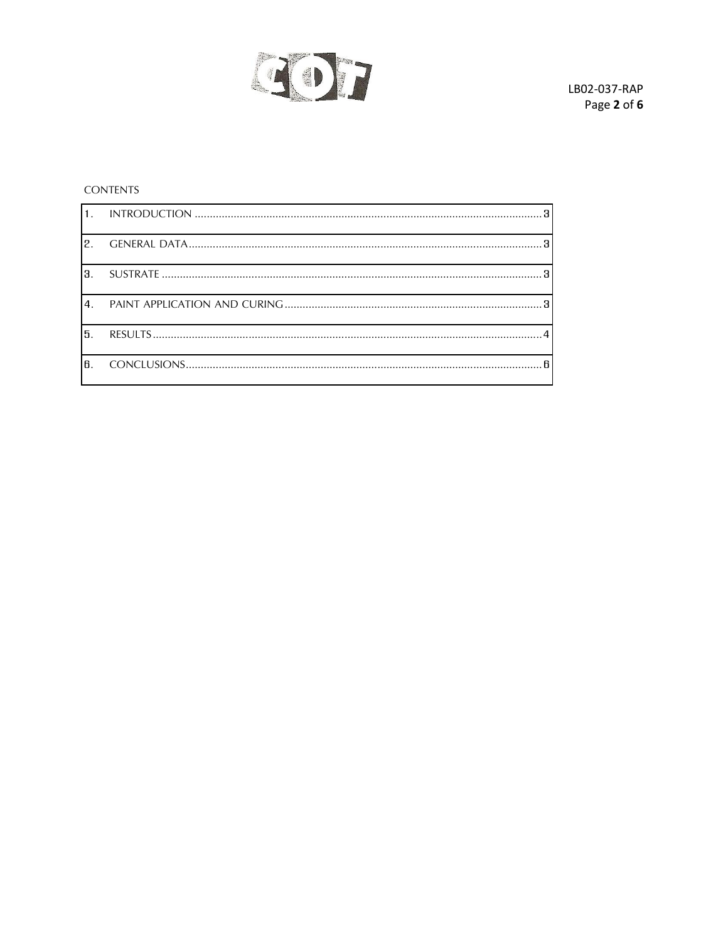

# **CONTENTS**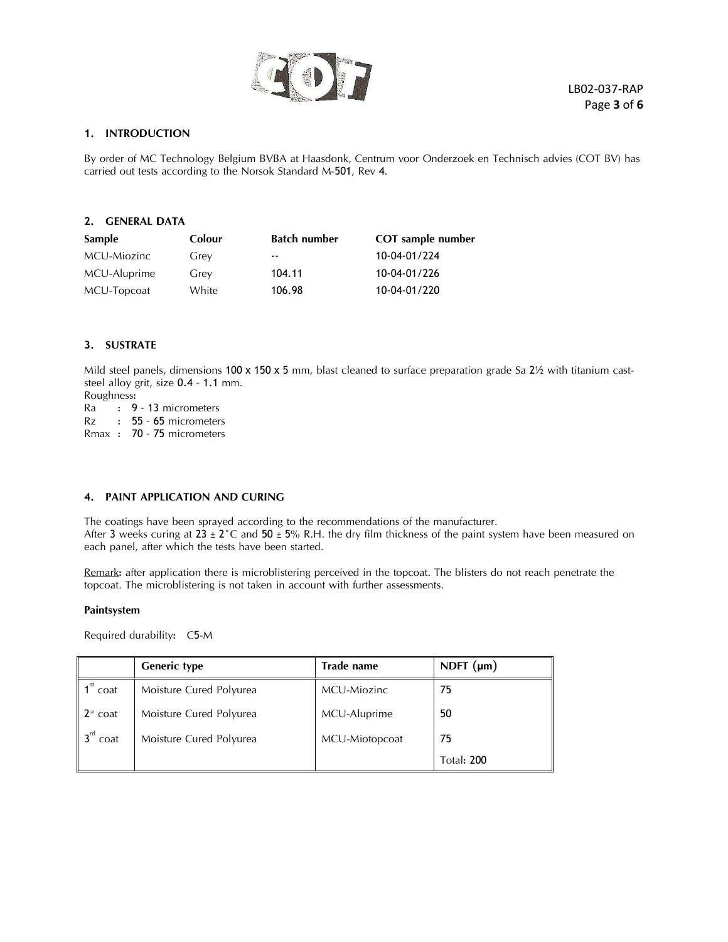

### <span id="page-2-0"></span>**1. INTRODUCTION**

By order of MC Technology Belgium BVBA at Haasdonk, Centrum voor Onderzoek en Technisch advies (COT BV) has carried out tests according to the Norsok Standard M-501, Rev 4.

<span id="page-2-1"></span>

| 2.<br><b>GENERAL DATA</b> |        |                     |                          |  |  |
|---------------------------|--------|---------------------|--------------------------|--|--|
| Sample                    | Colour | <b>Batch number</b> | <b>COT</b> sample number |  |  |
| MCU-Miozinc               | Grey   | $ -$                | 10-04-01/224             |  |  |
| MCU-Aluprime              | Grey   | 104.11              | 10-04-01/226             |  |  |
| MCU-Topcoat               | White  | 106.98              | 10-04-01/220             |  |  |

### <span id="page-2-2"></span>**3. SUSTRATE**

Mild steel panels, dimensions 100 x 150 x 5 mm, blast cleaned to surface preparation grade Sa 2½ with titanium cast-<br>steel alloy grit, size  $0.4 - 1.1$  mm.<br>Roughness:<br>Ra : 9 - 13 micrometers

 $Ra$  :  $9 - 13$  micrometers<br> $Rz$  :  $55 - 65$  micrometer t 55 - 65 micrometers

Rmax : 70 – <sup>75</sup> micrometers

### <span id="page-2-3"></span>**4. PAINT APPLICATION AND CURING**

The coatings have been sprayed according to the recommendations of the manufacturer. After 3 weeks curing at  $23 \pm 2^{\circ}$ C and  $50 \pm 5\%$  R.H. the dry film thickness of the paint system have been measured on each panel, after which the tests have been started.

Remark: after application there is microblistering perceived in the topcoat. The blisters do not reach penetrate the topcoat. The microblistering is not taken in account with further assessments.

#### **Paintsystem**

Required durability: C5-M

|                                                     | <b>Generic type</b>     | <b>Trade name</b> | NDFT $(\mu m)$    |
|-----------------------------------------------------|-------------------------|-------------------|-------------------|
| $1^{st}$<br>coat                                    | Moisture Cured Polyurea | MCU-Miozinc       | 75                |
| $\mathsf{2}^{\scriptscriptstyle{\mathrm{nd}}}$ coat | Moisture Cured Polyurea | MCU-Aluprime      | 50                |
| $\mathsf{R}^{\mathsf{rd}}$<br>coat                  | Moisture Cured Polyurea | MCU-Miotopcoat    | 75                |
|                                                     |                         |                   | <b>Total: 200</b> |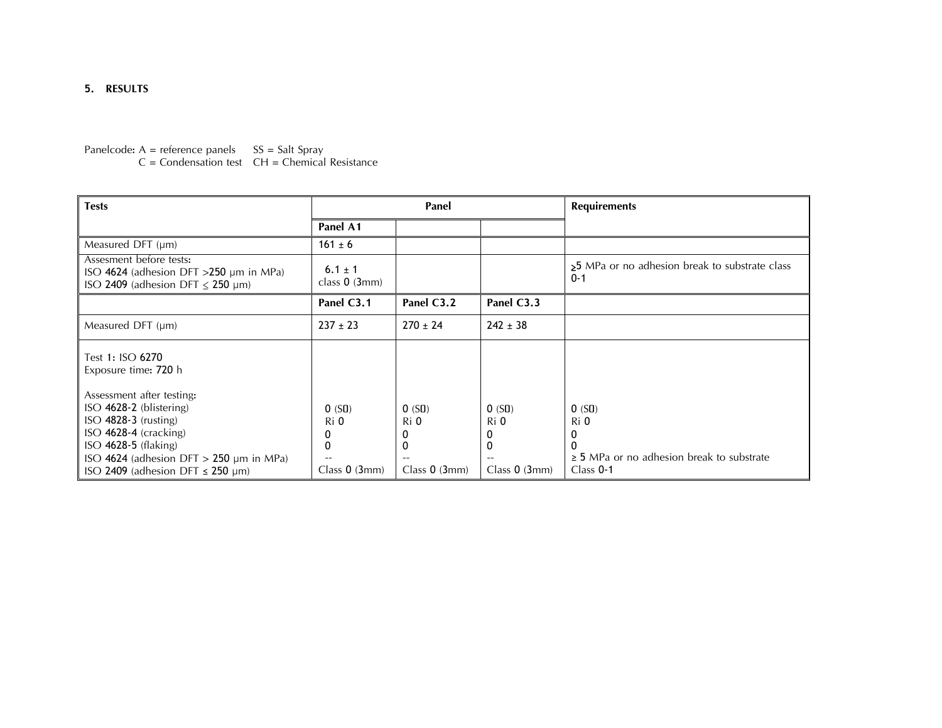# **5. RESULTS**

Panelcode:  $A =$  reference panels  $SS =$  Salt Spray

 $C =$  Condensation test  $CH =$  Chemical Resistance

<span id="page-3-0"></span>

| <b>Tests</b>                                                                                                                                                                                                                | Panel                                 |                                                       |                                       | <b>Requirements</b>                                                                 |
|-----------------------------------------------------------------------------------------------------------------------------------------------------------------------------------------------------------------------------|---------------------------------------|-------------------------------------------------------|---------------------------------------|-------------------------------------------------------------------------------------|
|                                                                                                                                                                                                                             | Panel A1                              |                                                       |                                       |                                                                                     |
| Measured DFT $(\mu m)$                                                                                                                                                                                                      | $161 \pm 6$                           |                                                       |                                       |                                                                                     |
| Assesment before tests:<br>ISO 4624 (adhesion DFT $>250$ µm in MPa)<br>ISO 2409 (adhesion DFT $\leq$ 250 µm)                                                                                                                | $6.1 \pm 1$<br>class $0$ (3mm)        |                                                       |                                       | >5 MPa or no adhesion break to substrate class<br>$0 - 1$                           |
|                                                                                                                                                                                                                             | Panel C3.1                            | Panel C3.2                                            | Panel C3.3                            |                                                                                     |
| Measured DFT $(\mu m)$                                                                                                                                                                                                      | $237 \pm 23$                          | $270 \pm 24$                                          | $242 \pm 38$                          |                                                                                     |
| Test 1: ISO 6270<br>Exposure time: 720 h                                                                                                                                                                                    |                                       |                                                       |                                       |                                                                                     |
| Assessment after testing:<br>$ISO$ 4628-2 (blistering)<br>$ISO$ 4828-3 (rusting)<br>$ISO$ 4628-4 (cracking)<br>$ISO$ 4628-5 (flaking)<br>ISO 4624 (adhesion DFT $>$ 250 µm in MPa)<br>ISO 2409 (adhesion DFT $\leq$ 250 µm) | 0(S0)<br>Ri 0<br>0<br>Class $0$ (3mm) | 0(S0)<br>Ri 0<br>0<br>$\mathbf{0}$<br>Class $0$ (3mm) | 0(S0)<br>Ri 0<br>0<br>Class $0$ (3mm) | 0(SI)<br>Ri 0<br>0<br>$\geq$ 5 MPa or no adhesion break to substrate<br>Class $0-1$ |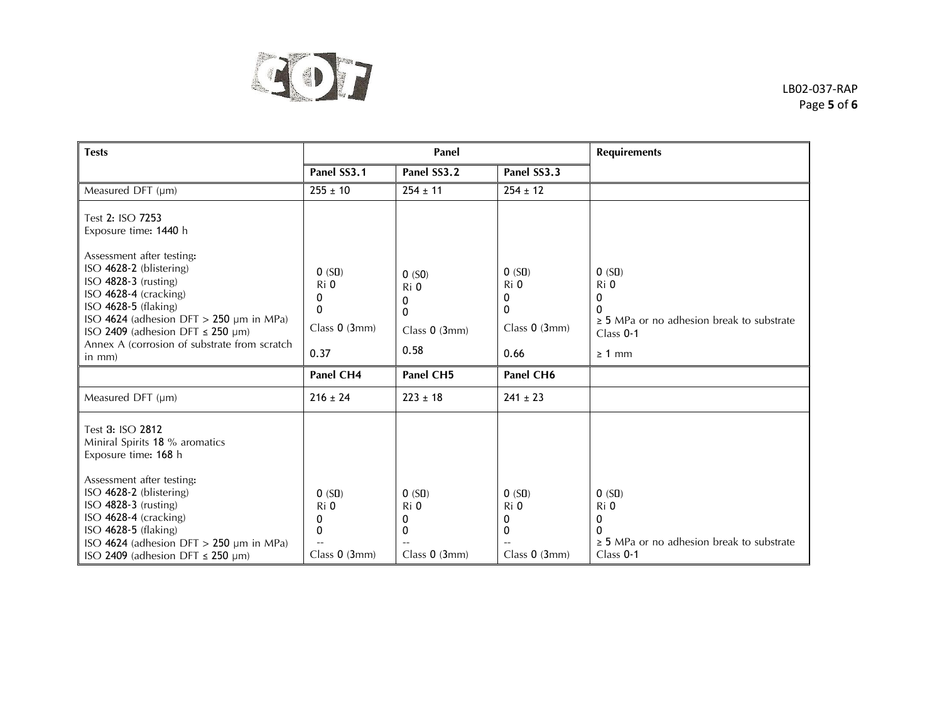

LB02‐037‐RAP Page **5** of **6**

| <b>Tests</b>                                                                                                                                                                                                                                                        | Panel                                            |                                                    |                                                    | <b>Requirements</b>                                                                                     |
|---------------------------------------------------------------------------------------------------------------------------------------------------------------------------------------------------------------------------------------------------------------------|--------------------------------------------------|----------------------------------------------------|----------------------------------------------------|---------------------------------------------------------------------------------------------------------|
|                                                                                                                                                                                                                                                                     | Panel SS3.1                                      | Panel SS3.2                                        | Panel SS3.3                                        |                                                                                                         |
| Measured DFT (µm)                                                                                                                                                                                                                                                   | $255 \pm 10$                                     | $254 \pm 11$                                       | $254 \pm 12$                                       |                                                                                                         |
| Test 2: ISO 7253<br>Exposure time: 1440 h                                                                                                                                                                                                                           |                                                  |                                                    |                                                    |                                                                                                         |
| Assessment after testing:<br>ISO 4628-2 (blistering)<br>ISO 4828-3 (rusting)<br>ISO 4628-4 (cracking)<br>$ISO$ 4628-5 (flaking)<br>ISO 4624 (adhesion DFT > 250 µm in MPa)<br>ISO 2409 (adhesion DFT $\leq$ 250 µm)<br>Annex A (corrosion of substrate from scratch | 0(S0)<br>Ri 0<br>0<br>0<br>Class 0 (3mm)<br>0.37 | 0(50)<br>Ri 0<br>0<br>0<br>Class $0$ (3mm)<br>0.58 | 0(S0)<br>Ri 0<br>0<br>0<br>Class $0$ (3mm)<br>0.66 | 0(S0)<br>Ri 0<br>0<br>ŋ<br>$\geq$ 5 MPa or no adhesion break to substrate<br>Class $0-1$<br>$\geq 1$ mm |
| $in mm$ )                                                                                                                                                                                                                                                           |                                                  |                                                    |                                                    |                                                                                                         |
|                                                                                                                                                                                                                                                                     | Panel CH4                                        | <b>Panel CH5</b>                                   | Panel CH6                                          |                                                                                                         |
| Measured DFT (µm)                                                                                                                                                                                                                                                   | $216 \pm 24$                                     | $223 \pm 18$                                       | $241 \pm 23$                                       |                                                                                                         |
| Test 3: ISO 2812<br>Miniral Spirits 18 % aromatics<br>Exposure time: 168 h                                                                                                                                                                                          |                                                  |                                                    |                                                    |                                                                                                         |
| Assessment after testing:<br>ISO 4628-2 (blistering)<br>ISO 4828-3 (rusting)<br>ISO 4628-4 (cracking)<br>ISO 4628-5 (flaking)<br>ISO 4624 (adhesion DFT $>$ 250 µm in MPa)<br>ISO 2409 (adhesion DFT $\leq$ 250 µm)                                                 | 0(S0)<br>Ri 0<br>0<br>0<br>Class $0$ (3mm)       | 0(S0)<br>Ri 0<br>0<br>0<br>Class $0$ (3mm)         | 0(S0)<br>Ri 0<br>0<br>0<br>Class $0$ (3mm)         | 0(S0)<br>Ri 0<br>0<br>0<br>$\geq$ 5 MPa or no adhesion break to substrate<br>Class $0-1$                |